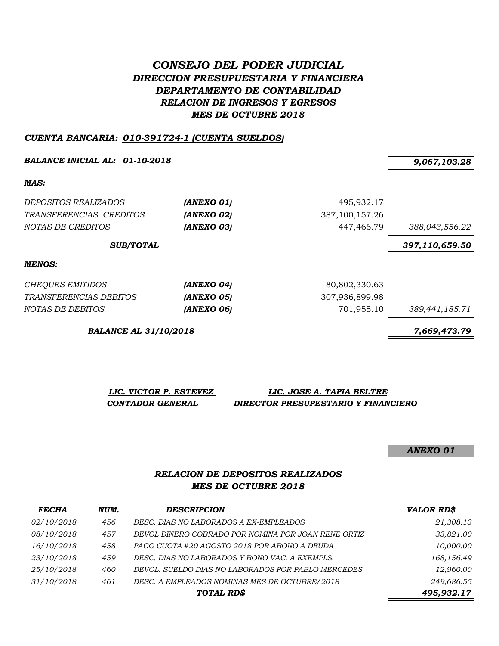# *CONSEJO DEL PODER JUDICIAL DIRECCION PRESUPUESTARIA Y FINANCIERA DEPARTAMENTO DE CONTABILIDAD RELACION DE INGRESOS Y EGRESOS MES DE OCTUBRE 2018*

#### *CUENTA BANCARIA: 010-391724-1 (CUENTA SUELDOS)*

**BALANCE INICIAL AL:** 01-10-2018 9,067,103.28

*MAS:*

| <i>DEPOSITOS REALIZADOS</i><br>TRANSFERENCIAS CREDITOS<br>NOTAS DE CREDITOS | (ANEXO 01)<br>(ANEXO 02)<br>(ANEXO 03) | 495,932.17<br>387, 100, 157. 26<br>447,466.79 | 388,043,556.22 |
|-----------------------------------------------------------------------------|----------------------------------------|-----------------------------------------------|----------------|
| <b>SUB/TOTAL</b>                                                            |                                        |                                               | 397,110,659.50 |
| MENOS:                                                                      |                                        |                                               |                |
| CHEQUES EMITIDOS                                                            | (ANEXO 04)                             | 80,802,330.63                                 |                |
| TRANSFERENCIAS DEBITOS                                                      | (ANEXO 05)                             | 307,936,899.98                                |                |
| NOTAS DE DEBITOS                                                            | (ANEXO 06)                             | 701,955.10                                    | 389,441,185.71 |

*BALANCE AL 31/10/2018 7,669,473.79*

*LIC. VICTOR P. ESTEVEZ LIC. JOSE A. TAPIA BELTRE CONTADOR GENERAL DIRECTOR PRESUPESTARIO Y FINANCIERO*

*ANEXO 01*

#### *RELACION DE DEPOSITOS REALIZADOS MES DE OCTUBRE 2018*

| <b>FECHA</b> | NUM. | <b>DESCRIPCION</b>                                  | <b>VALOR RD\$</b> |
|--------------|------|-----------------------------------------------------|-------------------|
| 02/10/2018   | 456  | DESC. DIAS NO LABORADOS A EX-EMPLEADOS              | 21,308.13         |
| 08/10/2018   | 457  | DEVOL DINERO COBRADO POR NOMINA POR JOAN RENE ORTIZ | 33,821.00         |
| 16/10/2018   | 458  | PAGO CUOTA #20 AGOSTO 2018 POR ABONO A DEUDA        | 10,000.00         |
| 23/10/2018   | 459  | DESC. DIAS NO LABORADOS Y BONO VAC. A EXEMPLS.      | 168,156.49        |
| 25/10/2018   | 460  | DEVOL. SUELDO DIAS NO LABORADOS POR PABLO MERCEDES  | 12,960.00         |
| 31/10/2018   | 461  | DESC. A EMPLEADOS NOMINAS MES DE OCTUBRE/2018       | 249,686.55        |
|              |      | TOTAL RD\$                                          | 495,932.17        |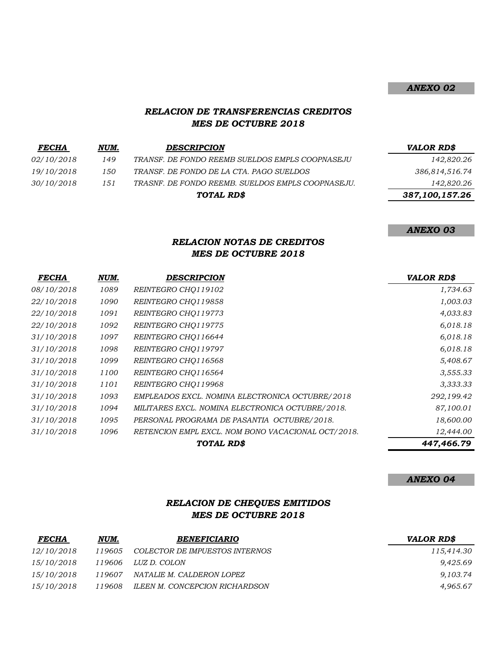## *ANEXO 02*

### *RELACION DE TRANSFERENCIAS CREDITOS MES DE OCTUBRE 2018*

| <i>FECHA</i>      | NUM. | <b>DESCRIPCION</b>                                | <b>VALOR RD\$</b> |
|-------------------|------|---------------------------------------------------|-------------------|
| <i>02/10/2018</i> | 149  | TRANSF. DE FONDO REEMB SUELDOS EMPLS COOPNASEJU   | 142,820.26        |
| 19/10/2018        | 150  | TRANSF. DE FONDO DE LA CTA. PAGO SUELDOS          | 386,814,516.74    |
| 30/10/2018        | 151  | TRASNF. DE FONDO REEMB. SUELDOS EMPLS COOPNASEJU. | 142,820.26        |
|                   |      | TOTAL RD\$                                        | 387,100,157.26    |
|                   |      |                                                   |                   |

*ANEXO 03*

## *RELACION NOTAS DE CREDITOS MES DE OCTUBRE 2018*

| <b>FECHA</b> | NUM. | <b>DESCRIPCION</b>                                 | <b>VALOR RD\$</b> |
|--------------|------|----------------------------------------------------|-------------------|
| 08/10/2018   | 1089 | REINTEGRO CHO119102                                | 1,734.63          |
| 22/10/2018   | 1090 | REINTEGRO CHQ119858                                | 1,003.03          |
| 22/10/2018   | 1091 | REINTEGRO CHO119773                                | 4,033.83          |
| 22/10/2018   | 1092 | REINTEGRO CHO119775                                | 6,018.18          |
| 31/10/2018   | 1097 | REINTEGRO CHO116644                                | 6,018.18          |
| 31/10/2018   | 1098 | REINTEGRO CHO119797                                | 6,018.18          |
| 31/10/2018   | 1099 | REINTEGRO CHO116568                                | 5,408.67          |
| 31/10/2018   | 1100 | REINTEGRO CHO116564                                | 3,555.33          |
| 31/10/2018   | 1101 | REINTEGRO CHO119968                                | 3,333.33          |
| 31/10/2018   | 1093 | EMPLEADOS EXCL. NOMINA ELECTRONICA OCTUBRE/2018    | 292,199.42        |
| 31/10/2018   | 1094 | MILITARES EXCL. NOMINA ELECTRONICA OCTUBRE/2018.   | 87,100.01         |
| 31/10/2018   | 1095 | PERSONAL PROGRAMA DE PASANTIA OCTUBRE/2018.        | 18,600.00         |
| 31/10/2018   | 1096 | RETENCION EMPL EXCL. NOM BONO VACACIONAL OCT/2018. | 12,444.00         |
|              |      | TOTAL RD\$                                         | 447,466.79        |

*ANEXO 04*

## *RELACION DE CHEQUES EMITIDOS MES DE OCTUBRE 2018*

| <b>FECHA</b> | NUM.   | <i><b>BENEFICIARIO</b></i>     | <b>VALOR RDS</b> |
|--------------|--------|--------------------------------|------------------|
| 12/10/2018   | 119605 | COLECTOR DE IMPUESTOS INTERNOS | 115.414.30       |
| 15/10/2018   | 119606 | LUZ D. COLON                   | 9,425.69         |
| 15/10/2018   | 119607 | NATALIE M. CALDERON LOPEZ      | 9,103.74         |
| 15/10/2018   | 119608 | ILEEN M. CONCEPCION RICHARDSON | 4,965.67         |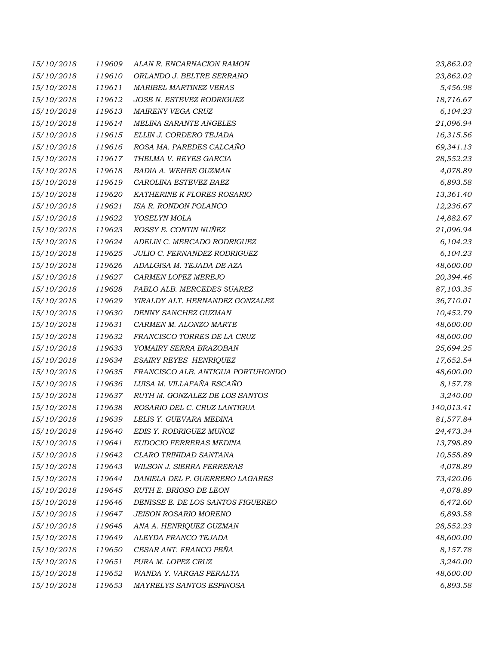| 15/10/2018 | 119609 | ALAN R. ENCARNACION RAMON         | 23,862.02  |
|------------|--------|-----------------------------------|------------|
| 15/10/2018 | 119610 | ORLANDO J. BELTRE SERRANO         | 23,862.02  |
| 15/10/2018 | 119611 | <b>MARIBEL MARTINEZ VERAS</b>     | 5,456.98   |
| 15/10/2018 | 119612 | JOSE N. ESTEVEZ RODRIGUEZ         | 18,716.67  |
| 15/10/2018 | 119613 | MAIRENY VEGA CRUZ                 | 6,104.23   |
| 15/10/2018 | 119614 | <b>MELINA SARANTE ANGELES</b>     | 21,096.94  |
| 15/10/2018 | 119615 | ELLIN J. CORDERO TEJADA           | 16,315.56  |
| 15/10/2018 | 119616 | ROSA MA. PAREDES CALCAÑO          | 69,341.13  |
| 15/10/2018 | 119617 | THELMA V. REYES GARCIA            | 28,552.23  |
| 15/10/2018 | 119618 | BADIA A. WEHBE GUZMAN             | 4,078.89   |
| 15/10/2018 | 119619 | CAROLINA ESTEVEZ BAEZ             | 6,893.58   |
| 15/10/2018 | 119620 | KATHERINE K FLORES ROSARIO        | 13,361.40  |
| 15/10/2018 | 119621 | ISA R. RONDON POLANCO             | 12,236.67  |
| 15/10/2018 | 119622 | YOSELYN MOLA                      | 14,882.67  |
| 15/10/2018 | 119623 | ROSSY E. CONTIN NUÑEZ             | 21,096.94  |
| 15/10/2018 | 119624 | ADELIN C. MERCADO RODRIGUEZ       | 6,104.23   |
| 15/10/2018 | 119625 | JULIO C. FERNANDEZ RODRIGUEZ      | 6,104.23   |
| 15/10/2018 | 119626 | ADALGISA M. TEJADA DE AZA         | 48,600.00  |
| 15/10/2018 | 119627 | CARMEN LOPEZ MEREJO               | 20,394.46  |
| 15/10/2018 | 119628 | PABLO ALB. MERCEDES SUAREZ        | 87,103.35  |
| 15/10/2018 | 119629 | YIRALDY ALT. HERNANDEZ GONZALEZ   | 36,710.01  |
| 15/10/2018 | 119630 | DENNY SANCHEZ GUZMAN              | 10,452.79  |
| 15/10/2018 | 119631 | CARMEN M. ALONZO MARTE            | 48,600.00  |
| 15/10/2018 | 119632 | FRANCISCO TORRES DE LA CRUZ       | 48,600.00  |
| 15/10/2018 | 119633 | YOMAIRY SERRA BRAZOBAN            | 25,694.25  |
| 15/10/2018 | 119634 | <b>ESAIRY REYES HENRIQUEZ</b>     | 17,652.54  |
| 15/10/2018 | 119635 | FRANCISCO ALB. ANTIGUA PORTUHONDO | 48,600.00  |
| 15/10/2018 | 119636 | LUISA M. VILLAFAÑA ESCAÑO         | 8,157.78   |
| 15/10/2018 | 119637 | RUTH M. GONZALEZ DE LOS SANTOS    | 3,240.00   |
| 15/10/2018 | 119638 | ROSARIO DEL C. CRUZ LANTIGUA      | 140,013.41 |
| 15/10/2018 | 119639 | LELIS Y. GUEVARA MEDINA           | 81,577.84  |
| 15/10/2018 | 119640 | EDIS Y. RODRIGUEZ MUÑOZ           | 24,473.34  |
| 15/10/2018 | 119641 | EUDOCIO FERRERAS MEDINA           | 13,798.89  |
| 15/10/2018 | 119642 | CLARO TRINIDAD SANTANA            | 10,558.89  |
| 15/10/2018 | 119643 | WILSON J. SIERRA FERRERAS         | 4,078.89   |
| 15/10/2018 | 119644 | DANIELA DEL P. GUERRERO LAGARES   | 73,420.06  |
| 15/10/2018 | 119645 | RUTH E. BRIOSO DE LEON            | 4,078.89   |
| 15/10/2018 | 119646 | DENISSE E. DE LOS SANTOS FIGUEREO | 6,472.60   |
| 15/10/2018 | 119647 | <b>JEISON ROSARIO MORENO</b>      | 6,893.58   |
| 15/10/2018 | 119648 | ANA A. HENRIQUEZ GUZMAN           | 28,552.23  |
| 15/10/2018 | 119649 | ALEYDA FRANCO TEJADA              | 48,600.00  |
| 15/10/2018 | 119650 | CESAR ANT. FRANCO PEÑA            | 8,157.78   |
| 15/10/2018 | 119651 | PURA M. LOPEZ CRUZ                | 3,240.00   |
| 15/10/2018 | 119652 | WANDA Y. VARGAS PERALTA           | 48,600.00  |
| 15/10/2018 | 119653 | MAYRELYS SANTOS ESPINOSA          | 6,893.58   |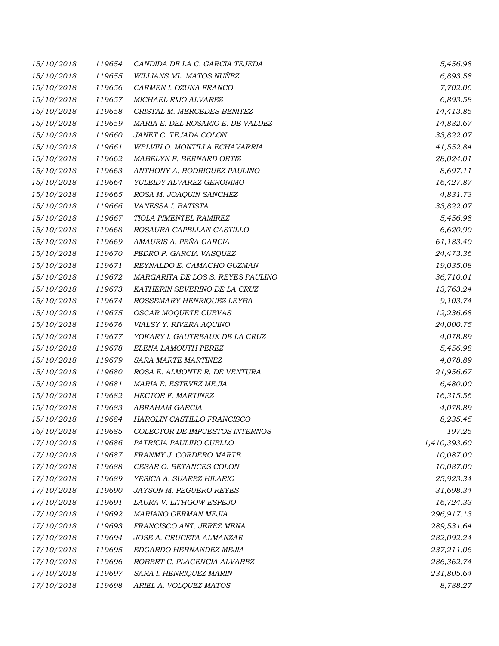| 15/10/2018 | 119654 | CANDIDA DE LA C. GARCIA TEJEDA    | 5,456.98     |
|------------|--------|-----------------------------------|--------------|
| 15/10/2018 | 119655 | WILLIANS ML. MATOS NUÑEZ          | 6,893.58     |
| 15/10/2018 | 119656 | CARMEN I. OZUNA FRANCO            | 7,702.06     |
| 15/10/2018 | 119657 | MICHAEL RIJO ALVAREZ              | 6,893.58     |
| 15/10/2018 | 119658 | CRISTAL M. MERCEDES BENITEZ       | 14,413.85    |
| 15/10/2018 | 119659 | MARIA E. DEL ROSARIO E. DE VALDEZ | 14,882.67    |
| 15/10/2018 | 119660 | JANET C. TEJADA COLON             | 33,822.07    |
| 15/10/2018 | 119661 | WELVIN O. MONTILLA ECHAVARRIA     | 41,552.84    |
| 15/10/2018 | 119662 | MABELYN F. BERNARD ORTIZ          | 28,024.01    |
| 15/10/2018 | 119663 | ANTHONY A. RODRIGUEZ PAULINO      | 8,697.11     |
| 15/10/2018 | 119664 | YULEIDY ALVAREZ GERONIMO          | 16,427.87    |
| 15/10/2018 | 119665 | ROSA M. JOAQUIN SANCHEZ           | 4,831.73     |
| 15/10/2018 | 119666 | VANESSA I. BATISTA                | 33,822.07    |
| 15/10/2018 | 119667 | TIOLA PIMENTEL RAMIREZ            | 5,456.98     |
| 15/10/2018 | 119668 | ROSAURA CAPELLAN CASTILLO         | 6,620.90     |
| 15/10/2018 | 119669 | AMAURIS A. PEÑA GARCIA            | 61,183.40    |
| 15/10/2018 | 119670 | PEDRO P. GARCIA VASQUEZ           | 24,473.36    |
| 15/10/2018 | 119671 | REYNALDO E. CAMACHO GUZMAN        | 19,035.08    |
| 15/10/2018 | 119672 | MARGARITA DE LOS S. REYES PAULINO | 36,710.01    |
| 15/10/2018 | 119673 | KATHERIN SEVERINO DE LA CRUZ      | 13,763.24    |
| 15/10/2018 | 119674 | ROSSEMARY HENRIQUEZ LEYBA         | 9,103.74     |
| 15/10/2018 | 119675 | OSCAR MOQUETE CUEVAS              | 12,236.68    |
| 15/10/2018 | 119676 | VIALSY Y. RIVERA AQUINO           | 24,000.75    |
| 15/10/2018 | 119677 | YOKARY I. GAUTREAUX DE LA CRUZ    | 4,078.89     |
| 15/10/2018 | 119678 | ELENA LAMOUTH PEREZ               | 5,456.98     |
| 15/10/2018 | 119679 | SARA MARTE MARTINEZ               | 4,078.89     |
| 15/10/2018 | 119680 | ROSA E. ALMONTE R. DE VENTURA     | 21,956.67    |
| 15/10/2018 | 119681 | MARIA E. ESTEVEZ MEJIA            | 6,480.00     |
| 15/10/2018 | 119682 | <b>HECTOR F. MARTINEZ</b>         | 16,315.56    |
| 15/10/2018 | 119683 | ABRAHAM GARCIA                    | 4,078.89     |
| 15/10/2018 | 119684 | HAROLIN CASTILLO FRANCISCO        | 8,235.45     |
| 16/10/2018 | 119685 | COLECTOR DE IMPUESTOS INTERNOS    | 197.25       |
| 17/10/2018 | 119686 | PATRICIA PAULINO CUELLO           | 1,410,393.60 |
| 17/10/2018 | 119687 | FRANMY J. CORDERO MARTE           | 10,087.00    |
| 17/10/2018 | 119688 | CESAR O. BETANCES COLON           | 10,087.00    |
| 17/10/2018 | 119689 | YESICA A. SUAREZ HILARIO          | 25,923.34    |
| 17/10/2018 | 119690 | JAYSON M. PEGUERO REYES           | 31,698.34    |
| 17/10/2018 | 119691 | LAURA V. LITHGOW ESPEJO           | 16,724.33    |
| 17/10/2018 | 119692 | MARIANO GERMAN MEJIA              | 296,917.13   |
| 17/10/2018 | 119693 | FRANCISCO ANT. JEREZ MENA         | 289,531.64   |
| 17/10/2018 | 119694 | JOSE A. CRUCETA ALMANZAR          | 282,092.24   |
| 17/10/2018 | 119695 | EDGARDO HERNANDEZ MEJIA           | 237,211.06   |
| 17/10/2018 | 119696 | ROBERT C. PLACENCIA ALVAREZ       | 286,362.74   |
| 17/10/2018 | 119697 | SARA I. HENRIQUEZ MARIN           | 231,805.64   |
| 17/10/2018 | 119698 | ARIEL A. VOLQUEZ MATOS            | 8,788.27     |
|            |        |                                   |              |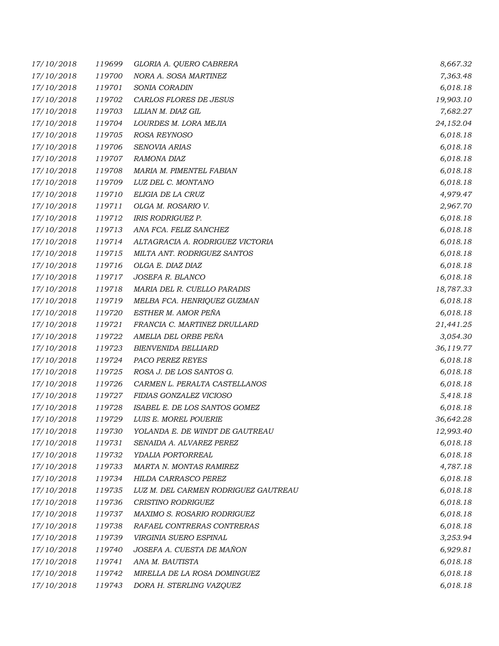| 17/10/2018 | 119699 | GLORIA A. QUERO CABRERA              | 8,667.32  |
|------------|--------|--------------------------------------|-----------|
| 17/10/2018 | 119700 | NORA A. SOSA MARTINEZ                | 7,363.48  |
| 17/10/2018 | 119701 | SONIA CORADIN                        | 6,018.18  |
| 17/10/2018 | 119702 | CARLOS FLORES DE JESUS               | 19,903.10 |
| 17/10/2018 | 119703 | LILIAN M. DIAZ GIL                   | 7,682.27  |
| 17/10/2018 | 119704 | LOURDES M. LORA MEJIA                | 24,152.04 |
| 17/10/2018 | 119705 | ROSA REYNOSO                         | 6,018.18  |
| 17/10/2018 | 119706 | SENOVIA ARIAS                        | 6,018.18  |
| 17/10/2018 | 119707 | RAMONA DIAZ                          | 6,018.18  |
| 17/10/2018 | 119708 | MARIA M. PIMENTEL FABIAN             | 6,018.18  |
| 17/10/2018 | 119709 | LUZ DEL C. MONTANO                   | 6,018.18  |
| 17/10/2018 | 119710 | ELIGIA DE LA CRUZ                    | 4,979.47  |
| 17/10/2018 | 119711 | OLGA M. ROSARIO V.                   | 2,967.70  |
| 17/10/2018 | 119712 | <b>IRIS RODRIGUEZ P.</b>             | 6,018.18  |
| 17/10/2018 | 119713 | ANA FCA. FELIZ SANCHEZ               | 6,018.18  |
| 17/10/2018 | 119714 | ALTAGRACIA A. RODRIGUEZ VICTORIA     | 6,018.18  |
| 17/10/2018 | 119715 | MILTA ANT. RODRIGUEZ SANTOS          | 6,018.18  |
| 17/10/2018 | 119716 | OLGA E. DIAZ DIAZ                    | 6,018.18  |
| 17/10/2018 | 119717 | JOSEFA R. BLANCO                     | 6,018.18  |
| 17/10/2018 | 119718 | MARIA DEL R. CUELLO PARADIS          | 18,787.33 |
| 17/10/2018 | 119719 | MELBA FCA. HENRIQUEZ GUZMAN          | 6,018.18  |
| 17/10/2018 | 119720 | ESTHER M. AMOR PEÑA                  | 6,018.18  |
| 17/10/2018 | 119721 | FRANCIA C. MARTINEZ DRULLARD         | 21,441.25 |
| 17/10/2018 | 119722 | AMELIA DEL ORBE PEÑA                 | 3,054.30  |
| 17/10/2018 | 119723 | <b>BIENVENIDA BELLIARD</b>           | 36,119.77 |
| 17/10/2018 | 119724 | PACO PEREZ REYES                     | 6,018.18  |
| 17/10/2018 | 119725 | ROSA J. DE LOS SANTOS G.             | 6,018.18  |
| 17/10/2018 | 119726 | CARMEN L. PERALTA CASTELLANOS        | 6,018.18  |
| 17/10/2018 | 119727 | FIDIAS GONZALEZ VICIOSO              | 5,418.18  |
| 17/10/2018 | 119728 | ISABEL E. DE LOS SANTOS GOMEZ        | 6,018.18  |
| 17/10/2018 | 119729 | LUIS E. MOREL POUERIE                | 36,642.28 |
| 17/10/2018 | 119730 | YOLANDA E. DE WINDT DE GAUTREAU      | 12,993.40 |
| 17/10/2018 | 119731 | SENAIDA A. ALVAREZ PEREZ             | 6,018.18  |
| 17/10/2018 | 119732 | YDALIA PORTORREAL                    | 6,018.18  |
| 17/10/2018 | 119733 | MARTA N. MONTAS RAMIREZ              | 4,787.18  |
| 17/10/2018 | 119734 | HILDA CARRASCO PEREZ                 | 6,018.18  |
| 17/10/2018 | 119735 | LUZ M. DEL CARMEN RODRIGUEZ GAUTREAU | 6,018.18  |
| 17/10/2018 | 119736 | CRISTINO RODRIGUEZ                   | 6,018.18  |
| 17/10/2018 | 119737 | MAXIMO S. ROSARIO RODRIGUEZ          | 6,018.18  |
| 17/10/2018 | 119738 | RAFAEL CONTRERAS CONTRERAS           | 6,018.18  |
| 17/10/2018 | 119739 | VIRGINIA SUERO ESPINAL               | 3,253.94  |
| 17/10/2018 | 119740 | JOSEFA A. CUESTA DE MAÑON            | 6,929.81  |
| 17/10/2018 | 119741 | ANA M. BAUTISTA                      | 6,018.18  |
| 17/10/2018 | 119742 | MIRELLA DE LA ROSA DOMINGUEZ         | 6,018.18  |
| 17/10/2018 | 119743 | DORA H. STERLING VAZQUEZ             | 6,018.18  |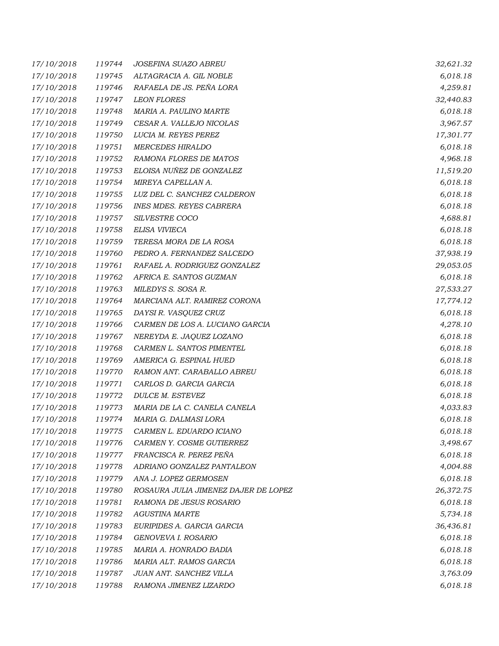| 17/10/2018 | 119744 | JOSEFINA SUAZO ABREU                 | 32,621.32 |
|------------|--------|--------------------------------------|-----------|
| 17/10/2018 | 119745 | ALTAGRACIA A. GIL NOBLE              | 6,018.18  |
| 17/10/2018 | 119746 | RAFAELA DE JS. PEÑA LORA             | 4,259.81  |
| 17/10/2018 | 119747 | <b>LEON FLORES</b>                   | 32,440.83 |
| 17/10/2018 | 119748 | MARIA A. PAULINO MARTE               | 6,018.18  |
| 17/10/2018 | 119749 | CESAR A. VALLEJO NICOLAS             | 3,967.57  |
| 17/10/2018 | 119750 | LUCIA M. REYES PEREZ                 | 17,301.77 |
| 17/10/2018 | 119751 | <b>MERCEDES HIRALDO</b>              | 6,018.18  |
| 17/10/2018 | 119752 | RAMONA FLORES DE MATOS               | 4,968.18  |
| 17/10/2018 | 119753 | ELOISA NUÑEZ DE GONZALEZ             | 11,519.20 |
| 17/10/2018 | 119754 | MIREYA CAPELLAN A.                   | 6,018.18  |
| 17/10/2018 | 119755 | LUZ DEL C. SANCHEZ CALDERON          | 6,018.18  |
| 17/10/2018 | 119756 | <b>INES MDES. REYES CABRERA</b>      | 6,018.18  |
| 17/10/2018 | 119757 | SILVESTRE COCO                       | 4,688.81  |
| 17/10/2018 | 119758 | ELISA VIVIECA                        | 6,018.18  |
| 17/10/2018 | 119759 | TERESA MORA DE LA ROSA               | 6,018.18  |
| 17/10/2018 | 119760 | PEDRO A. FERNANDEZ SALCEDO           | 37,938.19 |
| 17/10/2018 | 119761 | RAFAEL A. RODRIGUEZ GONZALEZ         | 29,053.05 |
| 17/10/2018 | 119762 | AFRICA E. SANTOS GUZMAN              | 6,018.18  |
| 17/10/2018 | 119763 | MILEDYS S. SOSA R.                   | 27,533.27 |
| 17/10/2018 | 119764 | MARCIANA ALT. RAMIREZ CORONA         | 17,774.12 |
| 17/10/2018 | 119765 | DAYSI R. VASQUEZ CRUZ                | 6,018.18  |
| 17/10/2018 | 119766 | CARMEN DE LOS A. LUCIANO GARCIA      | 4,278.10  |
| 17/10/2018 | 119767 | NEREYDA E. JAQUEZ LOZANO             | 6,018.18  |
| 17/10/2018 | 119768 | CARMEN L. SANTOS PIMENTEL            | 6,018.18  |
| 17/10/2018 | 119769 | AMERICA G. ESPINAL HUED              | 6,018.18  |
| 17/10/2018 | 119770 | RAMON ANT. CARABALLO ABREU           | 6,018.18  |
| 17/10/2018 | 119771 | CARLOS D. GARCIA GARCIA              | 6,018.18  |
| 17/10/2018 | 119772 | DULCE M. ESTEVEZ                     | 6,018.18  |
| 17/10/2018 | 119773 | MARIA DE LA C. CANELA CANELA         | 4,033.83  |
| 17/10/2018 | 119774 | MARIA G. DALMASI LORA                | 6,018.18  |
| 17/10/2018 | 119775 | CARMEN L. EDUARDO ICIANO             | 6,018.18  |
| 17/10/2018 | 119776 | CARMEN Y. COSME GUTIERREZ            | 3,498.67  |
| 17/10/2018 | 119777 | FRANCISCA R. PEREZ PEÑA              | 6,018.18  |
| 17/10/2018 | 119778 | ADRIANO GONZALEZ PANTALEON           | 4,004.88  |
| 17/10/2018 | 119779 | ANA J. LOPEZ GERMOSEN                | 6,018.18  |
| 17/10/2018 | 119780 | ROSAURA JULIA JIMENEZ DAJER DE LOPEZ | 26,372.75 |
| 17/10/2018 | 119781 | RAMONA DE JESUS ROSARIO              | 6,018.18  |
| 17/10/2018 | 119782 | <b>AGUSTINA MARTE</b>                | 5,734.18  |
| 17/10/2018 | 119783 | EURIPIDES A. GARCIA GARCIA           | 36,436.81 |
| 17/10/2018 | 119784 | GENOVEVA I. ROSARIO                  | 6,018.18  |
| 17/10/2018 | 119785 | MARIA A. HONRADO BADIA               | 6,018.18  |
| 17/10/2018 | 119786 | MARIA ALT. RAMOS GARCIA              | 6,018.18  |
| 17/10/2018 | 119787 | JUAN ANT. SANCHEZ VILLA              | 3,763.09  |
| 17/10/2018 | 119788 | RAMONA JIMENEZ LIZARDO               | 6,018.18  |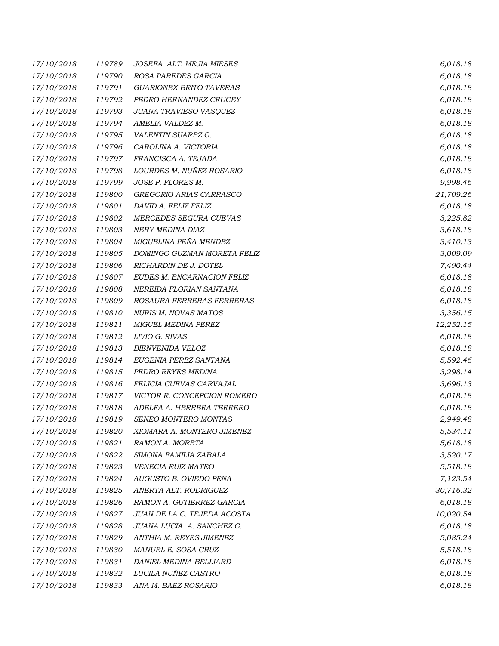| 17/10/2018 | 119789 | JOSEFA ALT. MEJIA MIESES       | 6,018.18  |
|------------|--------|--------------------------------|-----------|
| 17/10/2018 | 119790 | ROSA PAREDES GARCIA            | 6,018.18  |
| 17/10/2018 | 119791 | <b>GUARIONEX BRITO TAVERAS</b> | 6,018.18  |
| 17/10/2018 | 119792 | PEDRO HERNANDEZ CRUCEY         | 6,018.18  |
| 17/10/2018 | 119793 | JUANA TRAVIESO VASQUEZ         | 6,018.18  |
| 17/10/2018 | 119794 | AMELIA VALDEZ M.               | 6,018.18  |
| 17/10/2018 | 119795 | VALENTIN SUAREZ G.             | 6,018.18  |
| 17/10/2018 | 119796 | CAROLINA A. VICTORIA           | 6,018.18  |
| 17/10/2018 | 119797 | FRANCISCA A. TEJADA            | 6,018.18  |
| 17/10/2018 | 119798 | LOURDES M. NUÑEZ ROSARIO       | 6,018.18  |
| 17/10/2018 | 119799 | JOSE P. FLORES M.              | 9,998.46  |
| 17/10/2018 | 119800 | GREGORIO ARIAS CARRASCO        | 21,709.26 |
| 17/10/2018 | 119801 | DAVID A. FELIZ FELIZ           | 6,018.18  |
| 17/10/2018 | 119802 | MERCEDES SEGURA CUEVAS         | 3,225.82  |
| 17/10/2018 | 119803 | NERY MEDINA DIAZ               | 3,618.18  |
| 17/10/2018 | 119804 | MIGUELINA PEÑA MENDEZ          | 3,410.13  |
| 17/10/2018 | 119805 | DOMINGO GUZMAN MORETA FELIZ    | 3,009.09  |
| 17/10/2018 | 119806 | RICHARDIN DE J. DOTEL          | 7,490.44  |
| 17/10/2018 | 119807 | EUDES M. ENCARNACION FELIZ     | 6,018.18  |
| 17/10/2018 | 119808 | NEREIDA FLORIAN SANTANA        | 6,018.18  |
| 17/10/2018 | 119809 | ROSAURA FERRERAS FERRERAS      | 6,018.18  |
| 17/10/2018 | 119810 | <b>NURIS M. NOVAS MATOS</b>    | 3,356.15  |
| 17/10/2018 | 119811 | MIGUEL MEDINA PEREZ            | 12,252.15 |
| 17/10/2018 | 119812 | LIVIO G. RIVAS                 | 6,018.18  |
| 17/10/2018 | 119813 | BIENVENIDA VELOZ               | 6,018.18  |
| 17/10/2018 | 119814 | EUGENIA PEREZ SANTANA          | 5,592.46  |
| 17/10/2018 | 119815 | PEDRO REYES MEDINA             | 3,298.14  |
| 17/10/2018 | 119816 | FELICIA CUEVAS CARVAJAL        | 3,696.13  |
| 17/10/2018 | 119817 | VICTOR R. CONCEPCION ROMERO    | 6,018.18  |
| 17/10/2018 | 119818 | ADELFA A. HERRERA TERRERO      | 6,018.18  |
| 17/10/2018 | 119819 | SENEO MONTERO MONTAS           | 2,949.48  |
| 17/10/2018 | 119820 | XIOMARA A. MONTERO JIMENEZ     | 5,534.11  |
| 17/10/2018 | 119821 | RAMON A. MORETA                | 5,618.18  |
| 17/10/2018 | 119822 | SIMONA FAMILIA ZABALA          | 3,520.17  |
| 17/10/2018 | 119823 | VENECIA RUIZ MATEO             | 5,518.18  |
| 17/10/2018 | 119824 | AUGUSTO E. OVIEDO PEÑA         | 7,123.54  |
| 17/10/2018 | 119825 | ANERTA ALT. RODRIGUEZ          | 30,716.32 |
| 17/10/2018 | 119826 | RAMON A. GUTIERREZ GARCIA      | 6,018.18  |
| 17/10/2018 | 119827 | JUAN DE LA C. TEJEDA ACOSTA    | 10,020.54 |
| 17/10/2018 | 119828 | JUANA LUCIA A. SANCHEZ G.      | 6,018.18  |
| 17/10/2018 | 119829 | ANTHIA M. REYES JIMENEZ        | 5,085.24  |
| 17/10/2018 | 119830 | MANUEL E. SOSA CRUZ            | 5,518.18  |
| 17/10/2018 | 119831 | DANIEL MEDINA BELLIARD         | 6,018.18  |
| 17/10/2018 | 119832 | LUCILA NUÑEZ CASTRO            | 6,018.18  |
| 17/10/2018 | 119833 | ANA M. BAEZ ROSARIO            | 6,018.18  |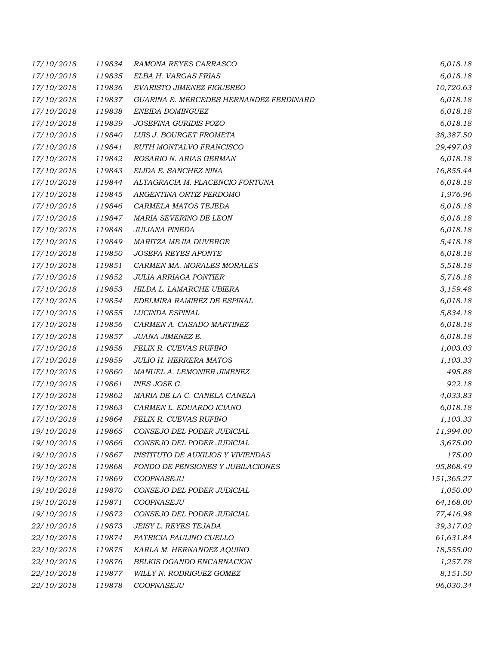| 17/10/2018 | 119834 | <i>RAMONA REYES CARRASCO</i>             | 6,018.18   |
|------------|--------|------------------------------------------|------------|
| 17/10/2018 | 119835 | ELBA H. VARGAS FRIAS                     | 6,018.18   |
| 17/10/2018 | 119836 | EVARISTO JIMENEZ FIGUEREO                | 10,720.63  |
| 17/10/2018 | 119837 | GUARINA E. MERCEDES HERNANDEZ FERDINARD  | 6,018.18   |
| 17/10/2018 | 119838 | ENEIDA DOMINGUEZ                         | 6,018.18   |
| 17/10/2018 | 119839 | JOSEFINA GURIDIS POZO                    | 6,018.18   |
| 17/10/2018 | 119840 | LUIS J. BOURGET FROMETA                  | 38,387.50  |
| 17/10/2018 | 119841 | RUTH MONTALVO FRANCISCO                  | 29,497.03  |
| 17/10/2018 | 119842 | ROSARIO N. ARIAS GERMAN                  | 6,018.18   |
| 17/10/2018 | 119843 | ELIDA E. SANCHEZ NINA                    | 16,855.44  |
| 17/10/2018 | 119844 | ALTAGRACIA M. PLACENCIO FORTUNA          | 6,018.18   |
| 17/10/2018 | 119845 | ARGENTINA ORTIZ PERDOMO                  | 1,976.96   |
| 17/10/2018 | 119846 | CARMELA MATOS TEJEDA                     | 6,018.18   |
| 17/10/2018 | 119847 | MARIA SEVERINO DE LEON                   | 6,018.18   |
| 17/10/2018 | 119848 | <b>JULIANA PINEDA</b>                    | 6,018.18   |
| 17/10/2018 | 119849 | MARITZA MEJIA DUVERGE                    | 5,418.18   |
| 17/10/2018 | 119850 | <b>JOSEFA REYES APONTE</b>               | 6,018.18   |
| 17/10/2018 | 119851 | CARMEN MA. MORALES MORALES               | 5,518.18   |
| 17/10/2018 | 119852 | <b>JULIA ARRIAGA PONTIER</b>             | 5,718.18   |
| 17/10/2018 | 119853 | HILDA L. LAMARCHE UBIERA                 | 3,159.48   |
| 17/10/2018 | 119854 | EDELMIRA RAMIREZ DE ESPINAL              | 6,018.18   |
| 17/10/2018 | 119855 | LUCINDA ESPINAL                          | 5,834.18   |
| 17/10/2018 | 119856 | CARMEN A. CASADO MARTINEZ                | 6,018.18   |
| 17/10/2018 | 119857 | JUANA JIMENEZ E.                         | 6,018.18   |
| 17/10/2018 | 119858 | FELIX R. CUEVAS RUFINO                   | 1,003.03   |
| 17/10/2018 | 119859 | <b>JULIO H. HERRERA MATOS</b>            | 1,103.33   |
| 17/10/2018 | 119860 | MANUEL A. LEMONIER JIMENEZ               | 495.88     |
| 17/10/2018 | 119861 | INES JOSE G.                             | 922.18     |
| 17/10/2018 | 119862 | MARIA DE LA C. CANELA CANELA             | 4,033.83   |
| 17/10/2018 | 119863 | CARMEN L. EDUARDO ICIANO                 | 6,018.18   |
| 17/10/2018 | 119864 | FELIX R. CUEVAS RUFINO                   | 1,103.33   |
| 19/10/2018 | 119865 | CONSEJO DEL PODER JUDICIAL               | 11,994.00  |
| 19/10/2018 | 119866 | CONSEJO DEL PODER JUDICIAL               | 3,675.00   |
| 19/10/2018 | 119867 | <b>INSTITUTO DE AUXILIOS Y VIVIENDAS</b> | 175.00     |
| 19/10/2018 | 119868 | FONDO DE PENSIONES Y JUBILACIONES        | 95,868.49  |
| 19/10/2018 | 119869 | COOPNASEJU                               | 151,365.27 |
| 19/10/2018 | 119870 | CONSEJO DEL PODER JUDICIAL               | 1,050.00   |
| 19/10/2018 | 119871 | COOPNASEJU                               | 64,168.00  |
| 19/10/2018 | 119872 | CONSEJO DEL PODER JUDICIAL               | 77,416.98  |
| 22/10/2018 | 119873 | JEISY L. REYES TEJADA                    | 39,317.02  |
| 22/10/2018 | 119874 | PATRICIA PAULINO CUELLO                  | 61,631.84  |
| 22/10/2018 | 119875 | KARLA M. HERNANDEZ AQUINO                | 18,555.00  |
| 22/10/2018 | 119876 | BELKIS OGANDO ENCARNACION                | 1,257.78   |
| 22/10/2018 | 119877 | WILLY N. RODRIGUEZ GOMEZ                 | 8,151.50   |
| 22/10/2018 | 119878 | COOPNASEJU                               | 96,030.34  |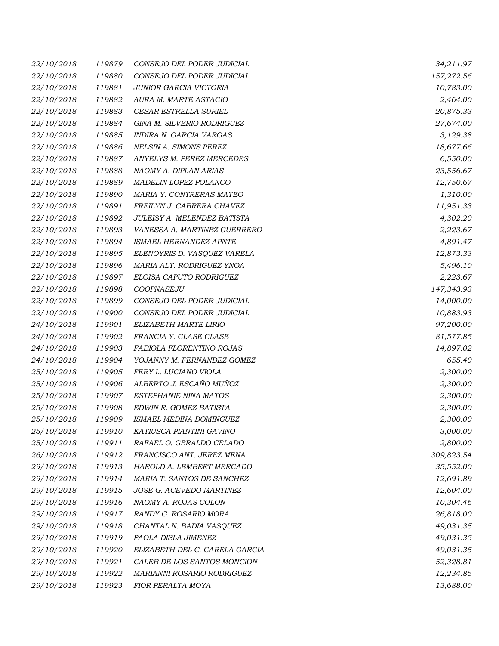| 22/10/2018 | 119879 | CONSEJO DEL PODER JUDICIAL     | 34,211.97  |
|------------|--------|--------------------------------|------------|
| 22/10/2018 | 119880 | CONSEJO DEL PODER JUDICIAL     | 157,272.56 |
| 22/10/2018 | 119881 | JUNIOR GARCIA VICTORIA         | 10,783.00  |
| 22/10/2018 | 119882 | AURA M. MARTE ASTACIO          | 2,464.00   |
| 22/10/2018 | 119883 | CESAR ESTRELLA SURIEL          | 20,875.33  |
| 22/10/2018 | 119884 | GINA M. SILVERIO RODRIGUEZ     | 27,674.00  |
| 22/10/2018 | 119885 | INDIRA N. GARCIA VARGAS        | 3,129.38   |
| 22/10/2018 | 119886 | NELSIN A. SIMONS PEREZ         | 18,677.66  |
| 22/10/2018 | 119887 | ANYELYS M. PEREZ MERCEDES      | 6,550.00   |
| 22/10/2018 | 119888 | NAOMY A. DIPLAN ARIAS          | 23,556.67  |
| 22/10/2018 | 119889 | MADELIN LOPEZ POLANCO          | 12,750.67  |
| 22/10/2018 | 119890 | MARIA Y. CONTRERAS MATEO       | 1,310.00   |
| 22/10/2018 | 119891 | FREILYN J. CABRERA CHAVEZ      | 11,951.33  |
| 22/10/2018 | 119892 | JULEISY A. MELENDEZ BATISTA    | 4,302.20   |
| 22/10/2018 | 119893 | VANESSA A. MARTINEZ GUERRERO   | 2,223.67   |
| 22/10/2018 | 119894 | <b>ISMAEL HERNANDEZ APNTE</b>  | 4,891.47   |
| 22/10/2018 | 119895 | ELENOYRIS D. VASQUEZ VARELA    | 12,873.33  |
| 22/10/2018 | 119896 | MARIA ALT. RODRIGUEZ YNOA      | 5,496.10   |
| 22/10/2018 | 119897 | ELOISA CAPUTO RODRIGUEZ        | 2,223.67   |
| 22/10/2018 | 119898 | COOPNASEJU                     | 147,343.93 |
| 22/10/2018 | 119899 | CONSEJO DEL PODER JUDICIAL     | 14,000.00  |
| 22/10/2018 | 119900 | CONSEJO DEL PODER JUDICIAL     | 10,883.93  |
| 24/10/2018 | 119901 | ELIZABETH MARTE LIRIO          | 97,200.00  |
| 24/10/2018 | 119902 | FRANCIA Y. CLASE CLASE         | 81,577.85  |
| 24/10/2018 | 119903 | FABIOLA FLORENTINO ROJAS       | 14,897.02  |
| 24/10/2018 | 119904 | YOJANNY M. FERNANDEZ GOMEZ     | 655.40     |
| 25/10/2018 | 119905 | FERY L. LUCIANO VIOLA          | 2,300.00   |
| 25/10/2018 | 119906 | ALBERTO J. ESCAÑO MUÑOZ        | 2,300.00   |
| 25/10/2018 | 119907 | ESTEPHANIE NINA MATOS          | 2,300.00   |
| 25/10/2018 | 119908 | EDWIN R. GOMEZ BATISTA         | 2,300.00   |
| 25/10/2018 | 119909 | ISMAEL MEDINA DOMINGUEZ        | 2,300.00   |
| 25/10/2018 | 119910 | KATIUSCA PIANTINI GAVINO       | 3,000.00   |
| 25/10/2018 | 119911 | RAFAEL O. GERALDO CELADO       | 2,800.00   |
| 26/10/2018 | 119912 | FRANCISCO ANT. JEREZ MENA      | 309,823.54 |
| 29/10/2018 | 119913 | HAROLD A. LEMBERT MERCADO      | 35,552.00  |
| 29/10/2018 | 119914 | MARIA T. SANTOS DE SANCHEZ     | 12,691.89  |
| 29/10/2018 | 119915 | JOSE G. ACEVEDO MARTINEZ       | 12,604.00  |
| 29/10/2018 | 119916 | NAOMY A. ROJAS COLON           | 10,304.46  |
| 29/10/2018 | 119917 | RANDY G. ROSARIO MORA          | 26,818.00  |
| 29/10/2018 | 119918 | CHANTAL N. BADIA VASQUEZ       | 49,031.35  |
| 29/10/2018 | 119919 | PAOLA DISLA JIMENEZ            | 49,031.35  |
| 29/10/2018 | 119920 | ELIZABETH DEL C. CARELA GARCIA | 49,031.35  |
| 29/10/2018 | 119921 | CALEB DE LOS SANTOS MONCION    | 52,328.81  |
| 29/10/2018 | 119922 | MARIANNI ROSARIO RODRIGUEZ     | 12,234.85  |
| 29/10/2018 | 119923 | FIOR PERALTA MOYA              | 13,688.00  |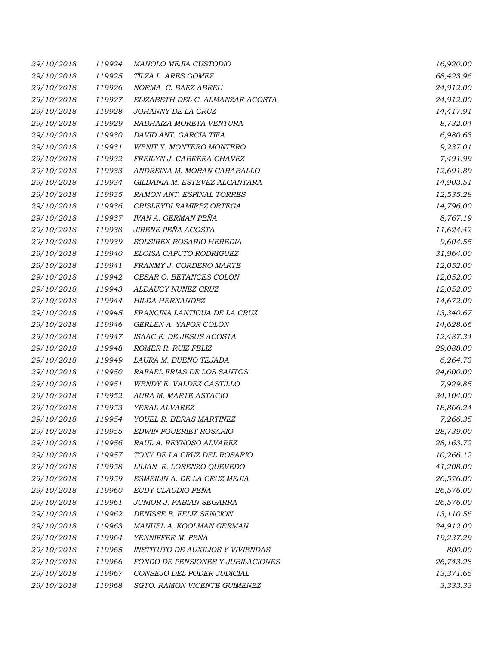| 29/10/2018 | 119924 | MANOLO MEJIA CUSTODIO                    | 16,920.00 |
|------------|--------|------------------------------------------|-----------|
| 29/10/2018 | 119925 | TILZA L. ARES GOMEZ                      | 68,423.96 |
| 29/10/2018 | 119926 | NORMA C. BAEZ ABREU                      | 24,912.00 |
| 29/10/2018 | 119927 | ELIZABETH DEL C. ALMANZAR ACOSTA         | 24,912.00 |
| 29/10/2018 | 119928 | JOHANNY DE LA CRUZ                       | 14,417.91 |
| 29/10/2018 | 119929 | RADHAIZA MORETA VENTURA                  | 8,732.04  |
| 29/10/2018 | 119930 | DAVID ANT. GARCIA TIFA                   | 6,980.63  |
| 29/10/2018 | 119931 | WENIT Y. MONTERO MONTERO                 | 9,237.01  |
| 29/10/2018 | 119932 | FREILYN J. CABRERA CHAVEZ                | 7,491.99  |
| 29/10/2018 | 119933 | ANDREINA M. MORAN CARABALLO              | 12,691.89 |
| 29/10/2018 | 119934 | GILDANIA M. ESTEVEZ ALCANTARA            | 14,903.51 |
| 29/10/2018 | 119935 | RAMON ANT. ESPINAL TORRES                | 12,535.28 |
| 29/10/2018 | 119936 | CRISLEYDI RAMIREZ ORTEGA                 | 14,796.00 |
| 29/10/2018 | 119937 | IVAN A. GERMAN PEÑA                      | 8,767.19  |
| 29/10/2018 | 119938 | JIRENE PEÑA ACOSTA                       | 11,624.42 |
| 29/10/2018 | 119939 | SOLSIREX ROSARIO HEREDIA                 | 9,604.55  |
| 29/10/2018 | 119940 | ELOISA CAPUTO RODRIGUEZ                  | 31,964.00 |
| 29/10/2018 | 119941 | FRANMY J. CORDERO MARTE                  | 12,052.00 |
| 29/10/2018 | 119942 | CESAR O. BETANCES COLON                  | 12,052.00 |
| 29/10/2018 | 119943 | ALDAUCY NUÑEZ CRUZ                       | 12,052.00 |
| 29/10/2018 | 119944 | <b>HILDA HERNANDEZ</b>                   | 14,672.00 |
| 29/10/2018 | 119945 | FRANCINA LANTIGUA DE LA CRUZ             | 13,340.67 |
| 29/10/2018 | 119946 | GERLEN A. YAPOR COLON                    | 14,628.66 |
| 29/10/2018 | 119947 | ISAAC E. DE JESUS ACOSTA                 | 12,487.34 |
| 29/10/2018 | 119948 | ROMER R. RUIZ FELIZ                      | 29,088.00 |
| 29/10/2018 | 119949 | LAURA M. BUENO TEJADA                    | 6,264.73  |
| 29/10/2018 | 119950 | RAFAEL FRIAS DE LOS SANTOS               | 24,600.00 |
| 29/10/2018 | 119951 | WENDY E. VALDEZ CASTILLO                 | 7,929.85  |
| 29/10/2018 | 119952 | AURA M. MARTE ASTACIO                    | 34,104.00 |
| 29/10/2018 | 119953 | YERAL ALVAREZ                            | 18,866.24 |
| 29/10/2018 | 119954 | YOUEL R. BERAS MARTINEZ                  | 7,266.35  |
| 29/10/2018 | 119955 | <b>EDWIN POUERIET ROSARIO</b>            | 28,739.00 |
| 29/10/2018 | 119956 | RAUL A. REYNOSO ALVAREZ                  | 28,163.72 |
| 29/10/2018 | 119957 | TONY DE LA CRUZ DEL ROSARIO              | 10,266.12 |
| 29/10/2018 | 119958 | LILIAN R. LORENZO QUEVEDO                | 41,208.00 |
| 29/10/2018 | 119959 | ESMEILIN A. DE LA CRUZ MEJIA             | 26,576.00 |
| 29/10/2018 | 119960 | EUDY CLAUDIO PEÑA                        | 26,576.00 |
| 29/10/2018 | 119961 | JUNIOR J. FABIAN SEGARRA                 | 26,576.00 |
| 29/10/2018 | 119962 | DENISSE E. FELIZ SENCION                 | 13,110.56 |
| 29/10/2018 | 119963 | MANUEL A. KOOLMAN GERMAN                 | 24,912.00 |
| 29/10/2018 | 119964 | YENNIFFER M. PEÑA                        | 19,237.29 |
| 29/10/2018 | 119965 | <b>INSTITUTO DE AUXILIOS Y VIVIENDAS</b> | 800.00    |
| 29/10/2018 | 119966 | FONDO DE PENSIONES Y JUBILACIONES        | 26,743.28 |
| 29/10/2018 | 119967 | CONSEJO DEL PODER JUDICIAL               | 13,371.65 |
| 29/10/2018 | 119968 | SGTO. RAMON VICENTE GUIMENEZ             | 3,333.33  |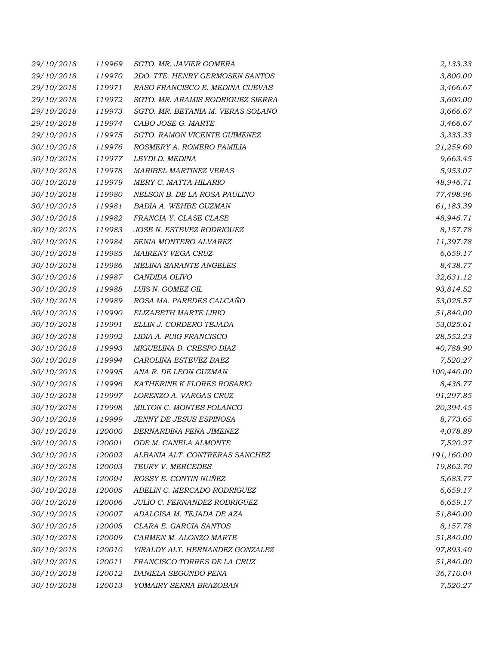| 29/10/2018 | 119969 | SGTO. MR. JAVIER GOMERA             | 2,133.33   |
|------------|--------|-------------------------------------|------------|
| 29/10/2018 | 119970 | 2DO. TTE. HENRY GERMOSEN SANTOS     | 3,800.00   |
| 29/10/2018 | 119971 | RASO FRANCISCO E. MEDINA CUEVAS     | 3,466.67   |
| 29/10/2018 | 119972 | SGTO. MR. ARAMIS RODRIGUEZ SIERRA   | 3,600.00   |
| 29/10/2018 | 119973 | SGTO. MR. BETANIA M. VERAS SOLANO   | 3,666.67   |
| 29/10/2018 | 119974 | CABO JOSE G. MARTE                  | 3,466.67   |
| 29/10/2018 | 119975 | SGTO. RAMON VICENTE GUIMENEZ        | 3,333.33   |
| 30/10/2018 | 119976 | ROSMERY A. ROMERO FAMILIA           | 21,259.60  |
| 30/10/2018 | 119977 | LEYDI D. MEDINA                     | 9,663.45   |
| 30/10/2018 | 119978 | MARIBEL MARTINEZ VERAS              | 5,953.07   |
| 30/10/2018 | 119979 | MERY C. MATTA HILARIO               | 48,946.71  |
| 30/10/2018 | 119980 | NELSON B. DE LA ROSA PAULINO        | 77,498.96  |
| 30/10/2018 | 119981 | <b>BADIA A. WEHBE GUZMAN</b>        | 61,183.39  |
| 30/10/2018 | 119982 | FRANCIA Y. CLASE CLASE              | 48,946.71  |
| 30/10/2018 | 119983 | JOSE N. ESTEVEZ RODRIGUEZ           | 8,157.78   |
| 30/10/2018 | 119984 | SENIA MONTERO ALVAREZ               | 11,397.78  |
| 30/10/2018 | 119985 | MAIRENY VEGA CRUZ                   | 6,659.17   |
| 30/10/2018 | 119986 | <b>MELINA SARANTE ANGELES</b>       | 8,438.77   |
| 30/10/2018 | 119987 | CANDIDA OLIVO                       | 32,631.12  |
| 30/10/2018 | 119988 | LUIS N. GOMEZ GIL                   | 93,814.52  |
| 30/10/2018 | 119989 | ROSA MA. PAREDES CALCAÑO            | 53,025.57  |
| 30/10/2018 | 119990 | ELIZABETH MARTE LIRIO               | 51,840.00  |
| 30/10/2018 | 119991 | ELLIN J. CORDERO TEJADA             | 53,025.61  |
| 30/10/2018 | 119992 | LIDIA A. PUIG FRANCISCO             | 28,552.23  |
| 30/10/2018 | 119993 | MIGUELINA D. CRESPO DIAZ            | 40,788.90  |
| 30/10/2018 | 119994 | CAROLINA ESTEVEZ BAEZ               | 7,520.27   |
| 30/10/2018 | 119995 | ANA R. DE LEON GUZMAN               | 100,440.00 |
| 30/10/2018 | 119996 | KATHERINE K FLORES ROSARIO          | 8,438.77   |
| 30/10/2018 | 119997 | LORENZO A. VARGAS CRUZ              | 91,297.85  |
| 30/10/2018 | 119998 | MILTON C. MONTES POLANCO            | 20,394.45  |
| 30/10/2018 | 119999 | <b>JENNY DE JESUS ESPINOSA</b>      | 8,773.65   |
| 30/10/2018 | 120000 | BERNARDINA PEÑA JIMENEZ             | 4,078.89   |
| 30/10/2018 | 120001 | ODE M. CANELA ALMONTE               | 7,520.27   |
| 30/10/2018 | 120002 | ALBANIA ALT. CONTRERAS SANCHEZ      | 191,160.00 |
| 30/10/2018 | 120003 | TEURY V. MERCEDES                   | 19,862.70  |
| 30/10/2018 | 120004 | ROSSY E. CONTIN NUÑEZ               | 5,683.77   |
| 30/10/2018 | 120005 | ADELIN C. MERCADO RODRIGUEZ         | 6,659.17   |
| 30/10/2018 | 120006 | <b>JULIO C. FERNANDEZ RODRIGUEZ</b> | 6,659.17   |
| 30/10/2018 | 120007 | ADALGISA M. TEJADA DE AZA           | 51,840.00  |
| 30/10/2018 | 120008 | CLARA E. GARCIA SANTOS              | 8,157.78   |
| 30/10/2018 | 120009 | CARMEN M. ALONZO MARTE              | 51,840.00  |
| 30/10/2018 | 120010 | YIRALDY ALT. HERNANDEZ GONZALEZ     | 97,893.40  |
| 30/10/2018 | 120011 | FRANCISCO TORRES DE LA CRUZ         | 51,840.00  |
| 30/10/2018 | 120012 | DANIELA SEGUNDO PEÑA                | 36,710.04  |
| 30/10/2018 | 120013 | YOMAIRY SERRA BRAZOBAN              | 7,520.27   |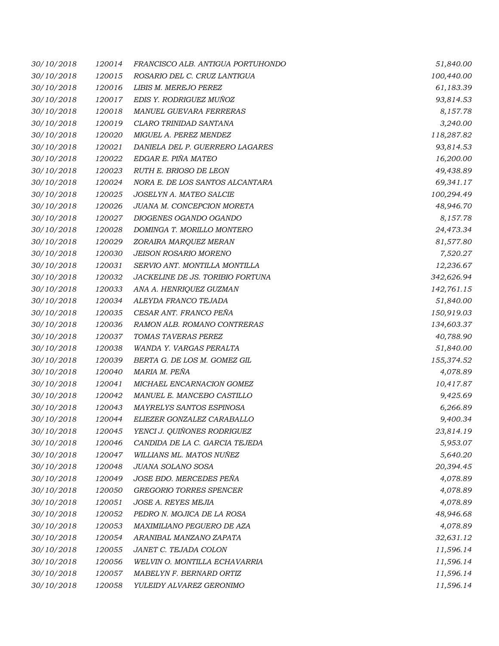| 30/10/2018 | 120014 | FRANCISCO ALB. ANTIGUA PORTUHONDO | 51,840.00  |
|------------|--------|-----------------------------------|------------|
| 30/10/2018 | 120015 | ROSARIO DEL C. CRUZ LANTIGUA      | 100,440.00 |
| 30/10/2018 | 120016 | LIBIS M. MEREJO PEREZ             | 61,183.39  |
| 30/10/2018 | 120017 | EDIS Y. RODRIGUEZ MUÑOZ           | 93,814.53  |
| 30/10/2018 | 120018 | MANUEL GUEVARA FERRERAS           | 8,157.78   |
| 30/10/2018 | 120019 | CLARO TRINIDAD SANTANA            | 3,240.00   |
| 30/10/2018 | 120020 | MIGUEL A. PEREZ MENDEZ            | 118,287.82 |
| 30/10/2018 | 120021 | DANIELA DEL P. GUERRERO LAGARES   | 93,814.53  |
| 30/10/2018 | 120022 | EDGAR E. PIÑA MATEO               | 16,200.00  |
| 30/10/2018 | 120023 | RUTH E. BRIOSO DE LEON            | 49,438.89  |
| 30/10/2018 | 120024 | NORA E. DE LOS SANTOS ALCANTARA   | 69,341.17  |
| 30/10/2018 | 120025 | JOSELYN A. MATEO SALCIE           | 100,294.49 |
| 30/10/2018 | 120026 | JUANA M. CONCEPCION MORETA        | 48,946.70  |
| 30/10/2018 | 120027 | DIOGENES OGANDO OGANDO            | 8,157.78   |
| 30/10/2018 | 120028 | DOMINGA T. MORILLO MONTERO        | 24,473.34  |
| 30/10/2018 | 120029 | ZORAIRA MARQUEZ MERAN             | 81,577.80  |
| 30/10/2018 | 120030 | <b>JEISON ROSARIO MORENO</b>      | 7,520.27   |
| 30/10/2018 | 120031 | SERVIO ANT. MONTILLA MONTILLA     | 12,236.67  |
| 30/10/2018 | 120032 | JACKELINE DE JS. TORIBIO FORTUNA  | 342,626.94 |
| 30/10/2018 | 120033 | ANA A. HENRIQUEZ GUZMAN           | 142,761.15 |
| 30/10/2018 | 120034 | ALEYDA FRANCO TEJADA              | 51,840.00  |
| 30/10/2018 | 120035 | CESAR ANT. FRANCO PEÑA            | 150,919.03 |
| 30/10/2018 | 120036 | RAMON ALB. ROMANO CONTRERAS       | 134,603.37 |
| 30/10/2018 | 120037 | TOMAS TAVERAS PEREZ               | 40,788.90  |
| 30/10/2018 | 120038 | WANDA Y. VARGAS PERALTA           | 51,840.00  |
| 30/10/2018 | 120039 | BERTA G. DE LOS M. GOMEZ GIL      | 155,374.52 |
| 30/10/2018 | 120040 | MARIA M. PEÑA                     | 4,078.89   |
| 30/10/2018 | 120041 | MICHAEL ENCARNACION GOMEZ         | 10,417.87  |
| 30/10/2018 | 120042 | MANUEL E. MANCEBO CASTILLO        | 9,425.69   |
| 30/10/2018 | 120043 | MAYRELYS SANTOS ESPINOSA          | 6,266.89   |
| 30/10/2018 | 120044 | ELIEZER GONZALEZ CARABALLO        | 9,400.34   |
| 30/10/2018 | 120045 | YENCI J. QUIÑONES RODRIGUEZ       | 23,814.19  |
| 30/10/2018 | 120046 | CANDIDA DE LA C. GARCIA TEJEDA    | 5,953.07   |
| 30/10/2018 | 120047 | WILLIANS ML. MATOS NUÑEZ          | 5,640.20   |
| 30/10/2018 | 120048 | <b>JUANA SOLANO SOSA</b>          | 20,394.45  |
| 30/10/2018 | 120049 | JOSE BDO. MERCEDES PEÑA           | 4,078.89   |
| 30/10/2018 | 120050 | <b>GREGORIO TORRES SPENCER</b>    | 4,078.89   |
| 30/10/2018 | 120051 | JOSE A. REYES MEJIA               | 4,078.89   |
| 30/10/2018 | 120052 | PEDRO N. MOJICA DE LA ROSA        | 48,946.68  |
| 30/10/2018 | 120053 | MAXIMILIANO PEGUERO DE AZA        | 4,078.89   |
| 30/10/2018 | 120054 | ARANIBAL MANZANO ZAPATA           | 32,631.12  |
| 30/10/2018 | 120055 | JANET C. TEJADA COLON             | 11,596.14  |
| 30/10/2018 | 120056 | WELVIN O. MONTILLA ECHAVARRIA     | 11,596.14  |
| 30/10/2018 | 120057 | MABELYN F. BERNARD ORTIZ          | 11,596.14  |
| 30/10/2018 | 120058 | YULEIDY ALVAREZ GERONIMO          | 11,596.14  |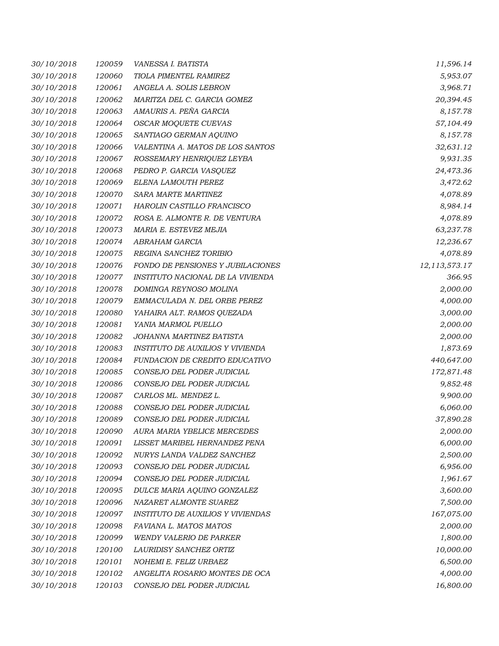| 30/10/2018 | 120059 | VANESSA I. BATISTA                       | 11,596.14     |
|------------|--------|------------------------------------------|---------------|
| 30/10/2018 | 120060 | TIOLA PIMENTEL RAMIREZ                   | 5,953.07      |
| 30/10/2018 | 120061 | ANGELA A. SOLIS LEBRON                   | 3,968.71      |
| 30/10/2018 | 120062 | MARITZA DEL C. GARCIA GOMEZ              | 20,394.45     |
| 30/10/2018 | 120063 | AMAURIS A. PEÑA GARCIA                   | 8,157.78      |
| 30/10/2018 | 120064 | OSCAR MOQUETE CUEVAS                     | 57,104.49     |
| 30/10/2018 | 120065 | SANTIAGO GERMAN AQUINO                   | 8,157.78      |
| 30/10/2018 | 120066 | VALENTINA A. MATOS DE LOS SANTOS         | 32,631.12     |
| 30/10/2018 | 120067 | ROSSEMARY HENRIQUEZ LEYBA                | 9,931.35      |
| 30/10/2018 | 120068 | PEDRO P. GARCIA VASQUEZ                  | 24,473.36     |
| 30/10/2018 | 120069 | ELENA LAMOUTH PEREZ                      | 3,472.62      |
| 30/10/2018 | 120070 | SARA MARTE MARTINEZ                      | 4,078.89      |
| 30/10/2018 | 120071 | HAROLIN CASTILLO FRANCISCO               | 8,984.14      |
| 30/10/2018 | 120072 | ROSA E. ALMONTE R. DE VENTURA            | 4,078.89      |
| 30/10/2018 | 120073 | MARIA E. ESTEVEZ MEJIA                   | 63,237.78     |
| 30/10/2018 | 120074 | ABRAHAM GARCIA                           | 12,236.67     |
| 30/10/2018 | 120075 | REGINA SANCHEZ TORIBIO                   | 4,078.89      |
| 30/10/2018 | 120076 | FONDO DE PENSIONES Y JUBILACIONES        | 12,113,573.17 |
| 30/10/2018 | 120077 | INSTITUTO NACIONAL DE LA VIVIENDA        | 366.95        |
| 30/10/2018 | 120078 | DOMINGA REYNOSO MOLINA                   | 2,000.00      |
| 30/10/2018 | 120079 | EMMACULADA N. DEL ORBE PEREZ             | 4,000.00      |
| 30/10/2018 | 120080 | YAHAIRA ALT. RAMOS QUEZADA               | 3,000.00      |
| 30/10/2018 | 120081 | YANIA MARMOL PUELLO                      | 2,000.00      |
| 30/10/2018 | 120082 | JOHANNA MARTINEZ BATISTA                 | 2,000.00      |
| 30/10/2018 | 120083 | INSTITUTO DE AUXILIOS Y VIVIENDA         | 1,873.69      |
| 30/10/2018 | 120084 | FUNDACION DE CREDITO EDUCATIVO           | 440,647.00    |
| 30/10/2018 | 120085 | CONSEJO DEL PODER JUDICIAL               | 172,871.48    |
| 30/10/2018 | 120086 | CONSEJO DEL PODER JUDICIAL               | 9,852.48      |
| 30/10/2018 | 120087 | CARLOS ML. MENDEZ L.                     | 9,900.00      |
| 30/10/2018 | 120088 | CONSEJO DEL PODER JUDICIAL               | 6,060.00      |
| 30/10/2018 | 120089 | CONSEJO DEL PODER JUDICIAL               | 37,890.28     |
| 30/10/2018 | 120090 | AURA MARIA YBELICE MERCEDES              | 2,000.00      |
| 30/10/2018 | 120091 | LISSET MARIBEL HERNANDEZ PENA            | 6,000.00      |
| 30/10/2018 | 120092 | NURYS LANDA VALDEZ SANCHEZ               | 2,500.00      |
| 30/10/2018 | 120093 | CONSEJO DEL PODER JUDICIAL               | 6,956.00      |
| 30/10/2018 | 120094 | CONSEJO DEL PODER JUDICIAL               | 1,961.67      |
| 30/10/2018 | 120095 | DULCE MARIA AQUINO GONZALEZ              | 3,600.00      |
| 30/10/2018 | 120096 | NAZARET ALMONTE SUAREZ                   | 7,500.00      |
| 30/10/2018 | 120097 | <b>INSTITUTO DE AUXILIOS Y VIVIENDAS</b> | 167,075.00    |
| 30/10/2018 | 120098 | FAVIANA L. MATOS MATOS                   | 2,000.00      |
| 30/10/2018 | 120099 | <b>WENDY VALERIO DE PARKER</b>           | 1,800.00      |
| 30/10/2018 | 120100 | LAURIDISY SANCHEZ ORTIZ                  | 10,000.00     |
| 30/10/2018 | 120101 | NOHEMI E. FELIZ URBAEZ                   | 6,500.00      |
| 30/10/2018 | 120102 | ANGELITA ROSARIO MONTES DE OCA           | 4,000.00      |
| 30/10/2018 | 120103 | CONSEJO DEL PODER JUDICIAL               | 16,800.00     |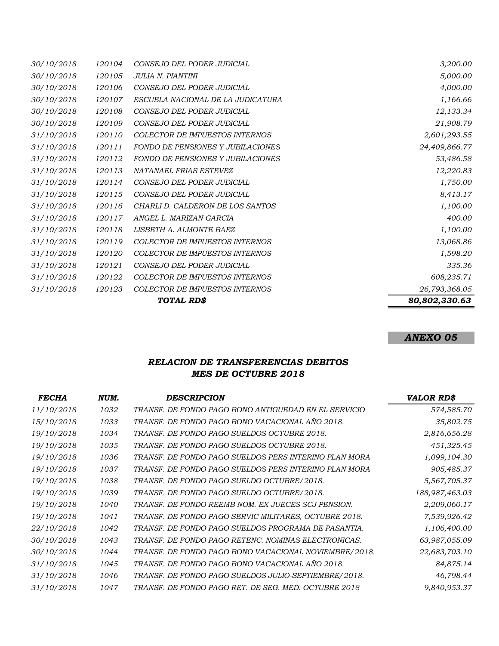| 30/10/2018 | 120104 | CONSEJO DEL PODER JUDICIAL               | 3,200.00      |
|------------|--------|------------------------------------------|---------------|
| 30/10/2018 | 120105 | <b>JULIA N. PIANTINI</b>                 | 5,000.00      |
| 30/10/2018 | 120106 | CONSEJO DEL PODER JUDICIAL               | 4,000.00      |
| 30/10/2018 | 120107 | ESCUELA NACIONAL DE LA JUDICATURA        | 1,166.66      |
| 30/10/2018 | 120108 | CONSEJO DEL PODER JUDICIAL               | 12,133.34     |
| 30/10/2018 | 120109 | CONSEJO DEL PODER JUDICIAL               | 21,908.79     |
| 31/10/2018 | 120110 | <b>COLECTOR DE IMPUESTOS INTERNOS</b>    | 2,601,293.55  |
| 31/10/2018 | 120111 | <b>FONDO DE PENSIONES Y JUBILACIONES</b> | 24,409,866.77 |
| 31/10/2018 | 120112 | <b>FONDO DE PENSIONES Y JUBILACIONES</b> | 53,486.58     |
| 31/10/2018 | 120113 | NATANAEL FRIAS ESTEVEZ                   | 12,220.83     |
| 31/10/2018 | 120114 | CONSEJO DEL PODER JUDICIAL               | 1,750.00      |
| 31/10/2018 | 120115 | CONSEJO DEL PODER JUDICIAL               | 8,413.17      |
| 31/10/2018 | 120116 | CHARLI D. CALDERON DE LOS SANTOS         | 1,100.00      |
| 31/10/2018 | 120117 | ANGEL L. MARIZAN GARCIA                  | 400.00        |
| 31/10/2018 | 120118 | LISBETH A. ALMONTE BAEZ                  | 1,100.00      |
| 31/10/2018 | 120119 | <b>COLECTOR DE IMPUESTOS INTERNOS</b>    | 13,068.86     |
| 31/10/2018 | 120120 | <b>COLECTOR DE IMPUESTOS INTERNOS</b>    | 1,598.20      |
| 31/10/2018 | 120121 | CONSEJO DEL PODER JUDICIAL               | 335.36        |
| 31/10/2018 | 120122 | <b>COLECTOR DE IMPUESTOS INTERNOS</b>    | 608,235.71    |
| 31/10/2018 | 120123 | <b>COLECTOR DE IMPUESTOS INTERNOS</b>    | 26,793,368.05 |
|            |        | TOTAL RD\$                               | 80,802,330.63 |

## *ANEXO 05*

## *RELACION DE TRANSFERENCIAS DEBITOS MES DE OCTUBRE 2018*

| <b>FECHA</b> | NUM. | <b>DESCRIPCION</b>                                    | <b>VALOR RD\$</b> |
|--------------|------|-------------------------------------------------------|-------------------|
| 11/10/2018   | 1032 | TRANSF. DE FONDO PAGO BONO ANTIGUEDAD EN EL SERVICIO  | 574,585.70        |
| 15/10/2018   | 1033 | TRANSF. DE FONDO PAGO BONO VACACIONAL AÑO 2018.       | 35,802.75         |
| 19/10/2018   | 1034 | TRANSF. DE FONDO PAGO SUELDOS OCTUBRE 2018.           | 2,816,656.28      |
| 19/10/2018   | 1035 | TRANSF. DE FONDO PAGO SUELDOS OCTUBRE 2018.           | 451,325.45        |
| 19/10/2018   | 1036 | TRANSF. DE FONDO PAGO SUELDOS PERS INTERINO PLAN MORA | 1,099,104.30      |
| 19/10/2018   | 1037 | TRANSF. DE FONDO PAGO SUELDOS PERS INTERINO PLAN MORA | 905,485.37        |
| 19/10/2018   | 1038 | TRANSF. DE FONDO PAGO SUELDO OCTUBRE/2018.            | 5,567,705.37      |
| 19/10/2018   | 1039 | TRANSF. DE FONDO PAGO SUELDO OCTUBRE/2018.            | 188,987,463.03    |
| 19/10/2018   | 1040 | TRANSF. DE FONDO REEMB NOM. EX JUECES SCJ PENSION.    | 2,209,060.17      |
| 19/10/2018   | 1041 | TRANSF. DE FONDO PAGO SERVIC MILITARES, OCTUBRE 2018. | 7,539,926.42      |
| 22/10/2018   | 1042 | TRANSF. DE FONDO PAGO SUELDOS PROGRAMA DE PASANTIA.   | 1,106,400.00      |
| 30/10/2018   | 1043 | TRANSF. DE FONDO PAGO RETENC. NOMINAS ELECTRONICAS.   | 63,987,055.09     |
| 30/10/2018   | 1044 | TRANSF. DE FONDO PAGO BONO VACACIONAL NOVIEMBRE/2018. | 22,683,703.10     |
| 31/10/2018   | 1045 | TRANSF. DE FONDO PAGO BONO VACACIONAL AÑO 2018.       | 84,875.14         |
| 31/10/2018   | 1046 | TRANSF. DE FONDO PAGO SUELDOS JULIO-SEPTIEMBRE/2018.  | 46,798.44         |
| 31/10/2018   | 1047 | TRANSF. DE FONDO PAGO RET. DE SEG. MED. OCTUBRE 2018  | 9,840,953.37      |